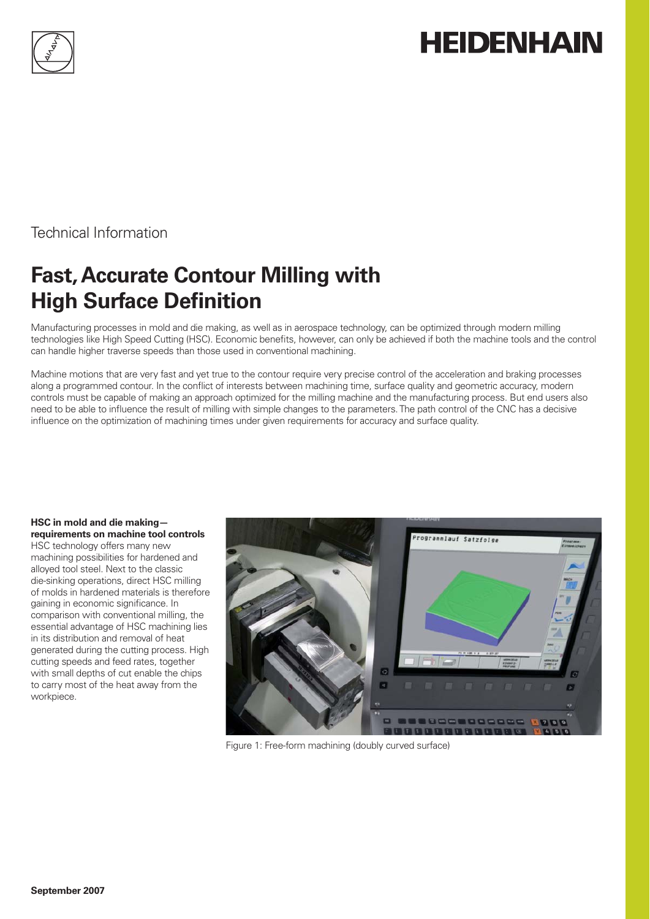

# **HEIDENHAIN**

Technical Information

# **Fast, Accurate Contour Milling with High Surface Definition**

Manufacturing processes in mold and die making, as well as in aerospace technology, can be optimized through modern milling technologies like High Speed Cutting (HSC). Economic benefits, however, can only be achieved if both the machine tools and the control can handle higher traverse speeds than those used in conventional machining.

Machine motions that are very fast and yet true to the contour require very precise control of the acceleration and braking processes along a programmed contour. In the conflict of interests between machining time, surface quality and geometric accuracy, modern controls must be capable of making an approach optimized for the milling machine and the manufacturing process. But end users also need to be able to influence the result of milling with simple changes to the parameters. The path control of the CNC has a decisive influence on the optimization of machining times under given requirements for accuracy and surface quality.

#### **HSC in mold and die making requirements on machine tool controls**

HSC technology offers many new machining possibilities for hardened and alloyed tool steel. Next to the classic die-sinking operations, direct HSC milling of molds in hardened materials is therefore gaining in economic significance. In comparison with conventional milling, the essential advantage of HSC machining lies in its distribution and removal of heat generated during the cutting process. High cutting speeds and feed rates, together with small depths of cut enable the chips to carry most of the heat away from the workpiece.



Figure 1: Free-form machining (doubly curved surface)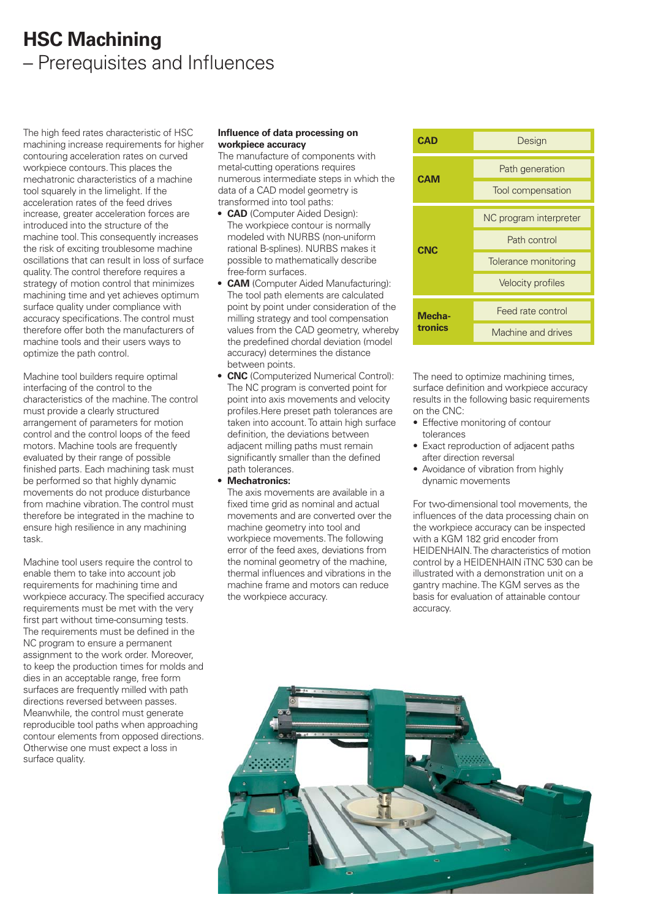### **HSC Machining** – Prerequisites and Influences

The high feed rates characteristic of HSC machining increase requirements for higher contouring acceleration rates on curved workpiece contours. This places the mechatronic characteristics of a machine tool squarely in the limelight. If the acceleration rates of the feed drives increase, greater acceleration forces are introduced into the structure of the machine tool. This consequently increases the risk of exciting troublesome machine oscillations that can result in loss of surface quality. The control therefore requires a strategy of motion control that minimizes machining time and yet achieves optimum surface quality under compliance with accuracy specifications. The control must therefore offer both the manufacturers of machine tools and their users ways to optimize the path control.

Machine tool builders require optimal interfacing of the control to the characteristics of the machine. The control must provide a clearly structured arrangement of parameters for motion control and the control loops of the feed motors. Machine tools are frequently evaluated by their range of possible finished parts. Each machining task must be performed so that highly dynamic movements do not produce disturbance from machine vibration. The control must therefore be integrated in the machine to ensure high resilience in any machining task.

Machine tool users require the control to enable them to take into account job requirements for machining time and workpiece accuracy. The specified accuracy requirements must be met with the very first part without time-consuming tests. The requirements must be defined in the NC program to ensure a permanent assignment to the work order. Moreover, to keep the production times for molds and dies in an acceptable range, free form surfaces are frequently milled with path directions reversed between passes. Meanwhile, the control must generate reproducible tool paths when approaching contour elements from opposed directions. Otherwise one must expect a loss in surface quality.

#### **Influence of data processing on workpiece accuracy**

The manufacture of components with metal-cutting operations requires numerous intermediate steps in which the data of a CAD model geometry is transformed into tool paths:

- **CAD** (Computer Aided Design): **•** The workpiece contour is normally modeled with NURBS (non-uniform rational B-splines). NURBS makes it possible to mathematically describe free-form surfaces.
- **CAM** (Computer Aided Manufacturing): **•** The tool path elements are calculated point by point under consideration of the milling strategy and tool compensation values from the CAD geometry, whereby the predefined chordal deviation (model accuracy) determines the distance between points.
- **CNC** (Computerized Numerical Control): **•** The NC program is converted point for point into axis movements and velocity profiles. Here preset path tolerances are taken into account. To attain high surface definition, the deviations between adjacent milling paths must remain significantly smaller than the defined path tolerances.
- **Mechatronics: •**

The axis movements are available in a fixed time grid as nominal and actual movements and are converted over the machine geometry into tool and workpiece movements. The following error of the feed axes, deviations from the nominal geometry of the machine, thermal influences and vibrations in the machine frame and motors can reduce the workpiece accuracy.



The need to optimize machining times, surface definition and workpiece accuracy results in the following basic requirements on the CNC:

- Effective monitoring of contour tolerances
- Exact reproduction of adjacent paths after direction reversal
- Avoidance of vibration from highly dynamic movements

For two-dimensional tool movements, the influences of the data processing chain on the workpiece accuracy can be inspected with a KGM 182 grid encoder from HEIDENHAIN. The characteristics of motion control by a HEIDENHAIN iTNC 530 can be illustrated with a demonstration unit on a gantry machine. The KGM serves as the basis for evaluation of attainable contour accuracy.

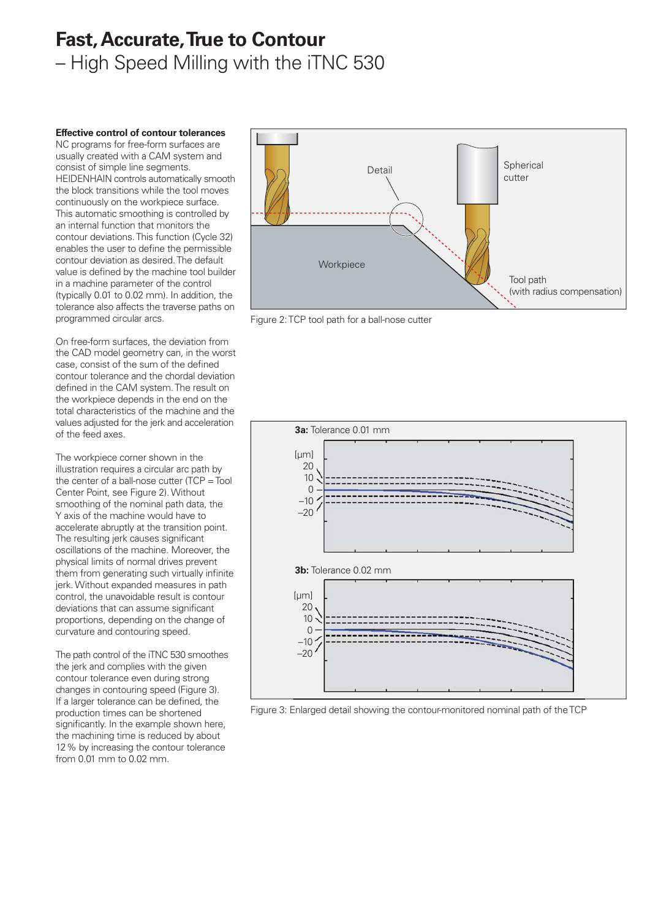### **Fast, Accurate, True to Contour** – High Speed Milling with the iTNC 530

**Effective control of contour tolerances**

NC programs for free-form surfaces are usually created with a CAM system and consist of simple line segments. HEIDENHAIN controls automatically smooth the block transitions while the tool moves continuously on the workpiece surface. This automatic smoothing is controlled by an internal function that monitors the contour deviations. This function (Cycle 32) enables the user to define the permissible contour deviation as desired. The default value is defined by the machine tool builder in a machine parameter of the control (typically 0.01 to 0.02 mm). In addition, the tolerance also affects the traverse paths on programmed circular arcs.

On free-form surfaces, the deviation from the CAD model geometry can, in the worst case, consist of the sum of the defined contour tolerance and the chordal deviation defined in the CAM system. The result on the workpiece depends in the end on the total characteristics of the machine and the values adjusted for the jerk and acceleration of the feed axes.

The workpiece corner shown in the illustration requires a circular arc path by the center of a ball-nose cutter (TCP = Tool Center Point, see Figure 2). Without smoothing of the nominal path data, the Y axis of the machine would have to accelerate abruptly at the transition point. The resulting jerk causes significant oscillations of the machine. Moreover, the physical limits of normal drives prevent them from generating such virtually infinite jerk. Without expanded measures in path control, the unavoidable result is contour deviations that can assume significant proportions, depending on the change of curvature and contouring speed.

The path control of the iTNC 530 smoothes the jerk and complies with the given contour tolerance even during strong changes in contouring speed (Figure 3). If a larger tolerance can be defined, the production times can be shortened significantly. In the example shown here, the machining time is reduced by about 12 % by increasing the contour tolerance from 0.01 mm to 0.02 mm.



Figure 2: TCP tool path for a ball-nose cutter



Figure 3: Enlarged detail showing the contour-monitored nominal path of the TCP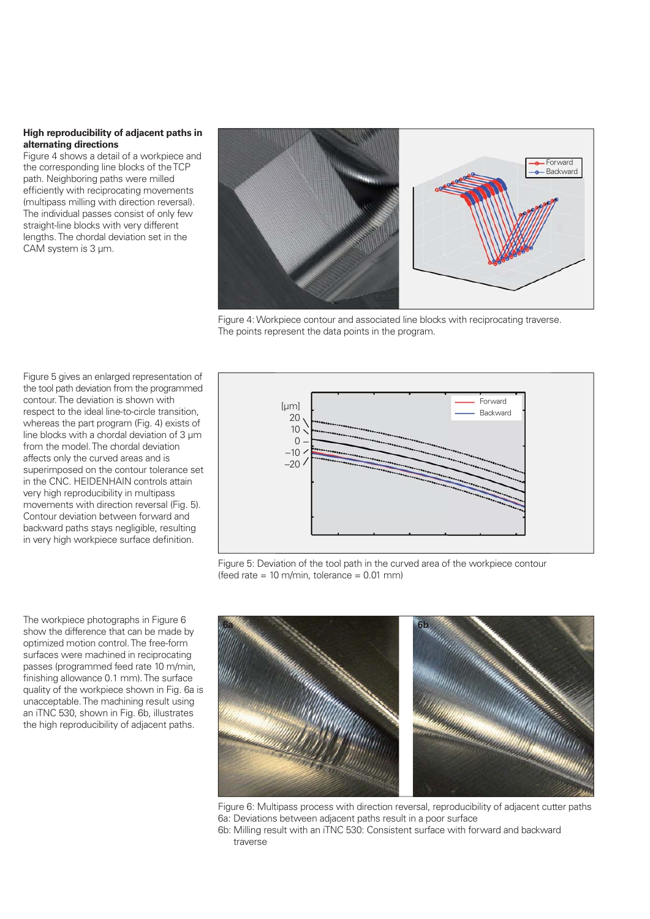#### **High reproducibility of adjacent paths in alternating directions**

Figure 4 shows a detail of a workpiece and the corresponding line blocks of the TCP path. Neighboring paths were milled efficiently with reciprocating movements (multipass milling with direction reversal). The individual passes consist of only few straight-line blocks with very different lengths. The chordal deviation set in the CAM system is 3 µm.



Figure 4: Workpiece contour and associated line blocks with reciprocating traverse. The points represent the data points in the program.

Figure 5 gives an enlarged representation of the tool path deviation from the programmed contour. The deviation is shown with respect to the ideal line-to-circle transition, whereas the part program (Fig. 4) exists of line blocks with a chordal deviation of 3 µm from the model. The chordal deviation affects only the curved areas and is superimposed on the contour tolerance set in the CNC. HEIDENHAIN controls attain very high reproducibility in multipass movements with direction reversal (Fig. 5). Contour deviation between forward and backward paths stays negligible, resulting in very high workpiece surface definition.

The workpiece photographs in Figure 6 show the difference that can be made by optimized motion control. The free-form surfaces were machined in reciprocating passes (programmed feed rate 10 m/min, finishing allowance 0.1 mm). The surface quality of the workpiece shown in Fig. 6a is unacceptable. The machining result using an iTNC 530, shown in Fig. 6b, illustrates the high reproducibility of adjacent paths.



Figure 5: Deviation of the tool path in the curved area of the workpiece contour (feed rate  $= 10$  m/min, tolerance  $= 0.01$  mm)



Figure 6: Multipass process with direction reversal, reproducibility of adjacent cutter paths 6a: Deviations between adjacent paths result in a poor surface

6b: Milling result with an iTNC 530: Consistent surface with forward and backward traverse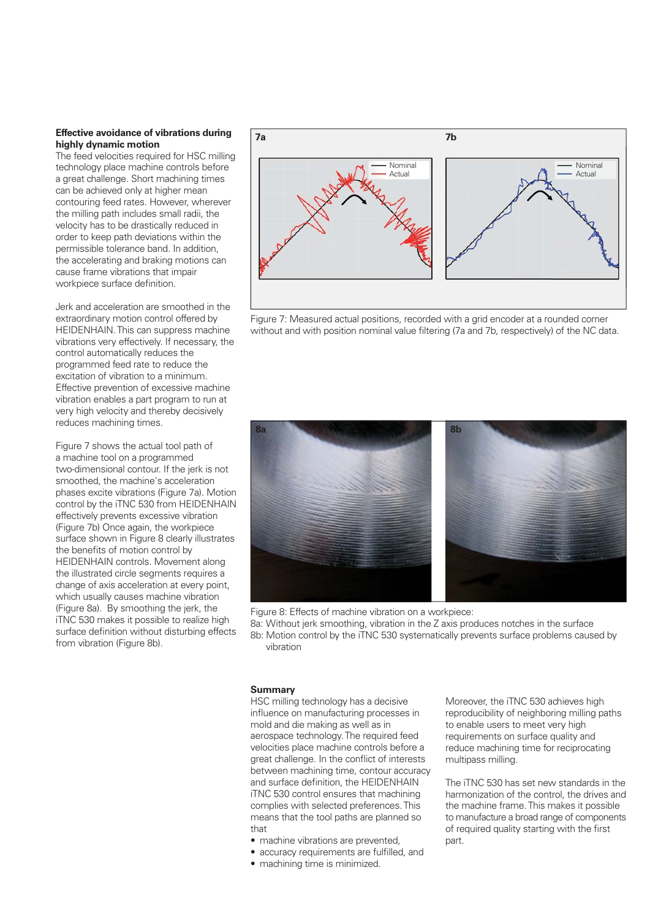#### **Effective avoidance of vibrations during highly dynamic motion**

The feed velocities required for HSC milling technology place machine controls before a great challenge. Short machining times can be achieved only at higher mean contouring feed rates. However, wherever the milling path includes small radii, the velocity has to be drastically reduced in order to keep path deviations within the permissible tolerance band. In addition, the accelerating and braking motions can cause frame vibrations that impair workpiece surface definition.

Jerk and acceleration are smoothed in the extraordinary motion control offered by HEIDENHAIN. This can suppress machine vibrations very effectively. If necessary, the control automatically reduces the programmed feed rate to reduce the excitation of vibration to a minimum. Effective prevention of excessive machine vibration enables a part program to run at very high velocity and thereby decisively reduces machining times.

Figure 7 shows the actual tool path of a machine tool on a programmed two-dimensional contour. If the jerk is not smoothed, the machine's acceleration phases excite vibrations (Figure 7a). Motion control by the iTNC 530 from HEIDENHAIN effectively prevents excessive vibration (Figure 7b) Once again, the workpiece surface shown in Figure 8 clearly illustrates the benefits of motion control by HEIDENHAIN controls. Movement along the illustrated circle segments requires a change of axis acceleration at every point, which usually causes machine vibration (Figure 8a). By smoothing the jerk, the iTNC 530 makes it possible to realize high surface definition without disturbing effects from vibration (Figure 8b).



Figure 7: Measured actual positions, recorded with a grid encoder at a rounded corner without and with position nominal value filtering (7a and 7b, respectively) of the NC data.



Figure 8: Effects of machine vibration on a workpiece:

8a: Without jerk smoothing, vibration in the Z axis produces notches in the surface 8b: Motion control by the iTNC 530 systematically prevents surface problems caused by vibration

#### **Summary**

HSC milling technology has a decisive influence on manufacturing processes in mold and die making as well as in aerospace technology. The required feed velocities place machine controls before a great challenge. In the conflict of interests between machining time, contour accuracy and surface definition, the HEIDENHAIN iTNC 530 control ensures that machining complies with selected preferences. This means that the tool paths are planned so that

• machine vibrations are prevented,

- accuracy requirements are fulfilled, and
- machining time is minimized.

Moreover, the iTNC 530 achieves high reproducibility of neighboring milling paths to enable users to meet very high requirements on surface quality and reduce machining time for reciprocating multipass milling.

The iTNC 530 has set new standards in the harmonization of the control, the drives and the machine frame. This makes it possible to manufacture a broad range of components of required quality starting with the first part.